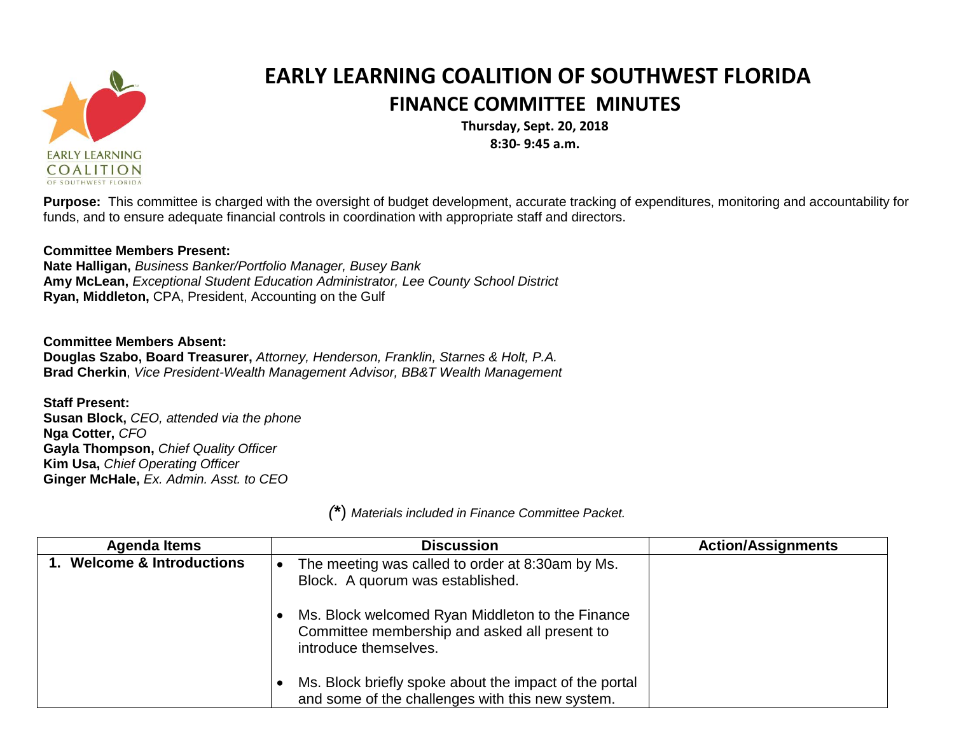

## **EARLY LEARNING COALITION OF SOUTHWEST FLORIDA FINANCE COMMITTEE MINUTES**

**Thursday, Sept. 20, 2018 8:30- 9:45 a.m.**

**Purpose:** This committee is charged with the oversight of budget development, accurate tracking of expenditures, monitoring and accountability for funds, and to ensure adequate financial controls in coordination with appropriate staff and directors.

## **Committee Members Present:**

**Nate Halligan,** *Business Banker/Portfolio Manager, Busey Bank* **Amy McLean,** *Exceptional Student Education Administrator, Lee County School District* **Ryan, Middleton,** CPA, President, Accounting on the Gulf

## **Committee Members Absent:**

**Douglas Szabo, Board Treasurer,** *Attorney, Henderson, Franklin, Starnes & Holt, P.A.* **Brad Cherkin**, *Vice President-Wealth Management Advisor, BB&T Wealth Management*

**Staff Present: Susan Block,** *CEO, attended via the phone* **Nga Cotter,** *CFO* **Gayla Thompson,** *Chief Quality Officer* **Kim Usa,** *Chief Operating Officer* **Ginger McHale,** *Ex. Admin. Asst. to CEO*

*(***\***) *Materials included in Finance Committee Packet.*

| <b>Agenda Items</b>        | <b>Discussion</b>                                                                                                          | <b>Action/Assignments</b> |
|----------------------------|----------------------------------------------------------------------------------------------------------------------------|---------------------------|
| 1. Welcome & Introductions | The meeting was called to order at 8:30am by Ms.<br>Block. A quorum was established.                                       |                           |
|                            | Ms. Block welcomed Ryan Middleton to the Finance<br>Committee membership and asked all present to<br>introduce themselves. |                           |
|                            | Ms. Block briefly spoke about the impact of the portal<br>and some of the challenges with this new system.                 |                           |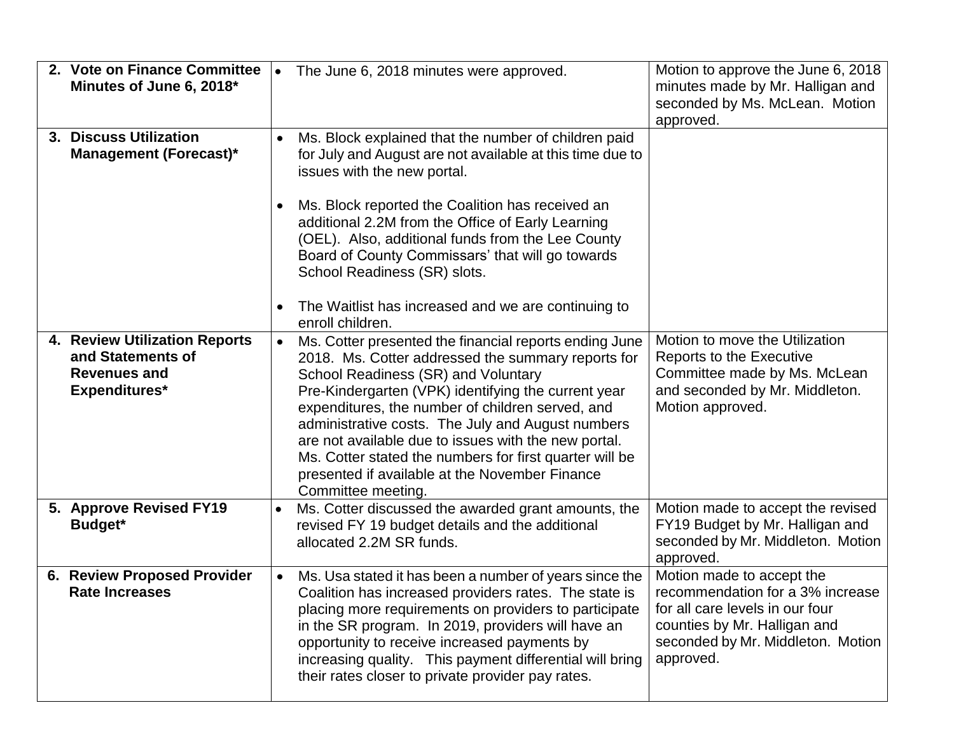| 2. Vote on Finance Committee<br>Minutes of June 6, 2018*                                          | $\bullet$ | The June 6, 2018 minutes were approved.                                                                                                                                                                                                                                                                                                                                                                                                                                                                        | Motion to approve the June 6, 2018<br>minutes made by Mr. Halligan and<br>seconded by Ms. McLean. Motion<br>approved.                                                              |
|---------------------------------------------------------------------------------------------------|-----------|----------------------------------------------------------------------------------------------------------------------------------------------------------------------------------------------------------------------------------------------------------------------------------------------------------------------------------------------------------------------------------------------------------------------------------------------------------------------------------------------------------------|------------------------------------------------------------------------------------------------------------------------------------------------------------------------------------|
| 3. Discuss Utilization<br><b>Management (Forecast)*</b>                                           | $\bullet$ | Ms. Block explained that the number of children paid<br>for July and August are not available at this time due to<br>issues with the new portal.                                                                                                                                                                                                                                                                                                                                                               |                                                                                                                                                                                    |
|                                                                                                   |           | Ms. Block reported the Coalition has received an<br>additional 2.2M from the Office of Early Learning<br>(OEL). Also, additional funds from the Lee County<br>Board of County Commissars' that will go towards<br>School Readiness (SR) slots.<br>The Waitlist has increased and we are continuing to                                                                                                                                                                                                          |                                                                                                                                                                                    |
|                                                                                                   |           | enroll children.                                                                                                                                                                                                                                                                                                                                                                                                                                                                                               |                                                                                                                                                                                    |
| 4. Review Utilization Reports<br>and Statements of<br><b>Revenues and</b><br><b>Expenditures*</b> |           | Ms. Cotter presented the financial reports ending June<br>2018. Ms. Cotter addressed the summary reports for<br>School Readiness (SR) and Voluntary<br>Pre-Kindergarten (VPK) identifying the current year<br>expenditures, the number of children served, and<br>administrative costs. The July and August numbers<br>are not available due to issues with the new portal.<br>Ms. Cotter stated the numbers for first quarter will be<br>presented if available at the November Finance<br>Committee meeting. | Motion to move the Utilization<br>Reports to the Executive<br>Committee made by Ms. McLean<br>and seconded by Mr. Middleton.<br>Motion approved.                                   |
| 5. Approve Revised FY19<br>Budget*                                                                |           | Ms. Cotter discussed the awarded grant amounts, the<br>revised FY 19 budget details and the additional<br>allocated 2.2M SR funds.                                                                                                                                                                                                                                                                                                                                                                             | Motion made to accept the revised<br>FY19 Budget by Mr. Halligan and<br>seconded by Mr. Middleton. Motion<br>approved.                                                             |
| 6. Review Proposed Provider<br><b>Rate Increases</b>                                              | $\bullet$ | Ms. Usa stated it has been a number of years since the<br>Coalition has increased providers rates. The state is<br>placing more requirements on providers to participate<br>in the SR program. In 2019, providers will have an<br>opportunity to receive increased payments by<br>increasing quality. This payment differential will bring<br>their rates closer to private provider pay rates.                                                                                                                | Motion made to accept the<br>recommendation for a 3% increase<br>for all care levels in our four<br>counties by Mr. Halligan and<br>seconded by Mr. Middleton. Motion<br>approved. |